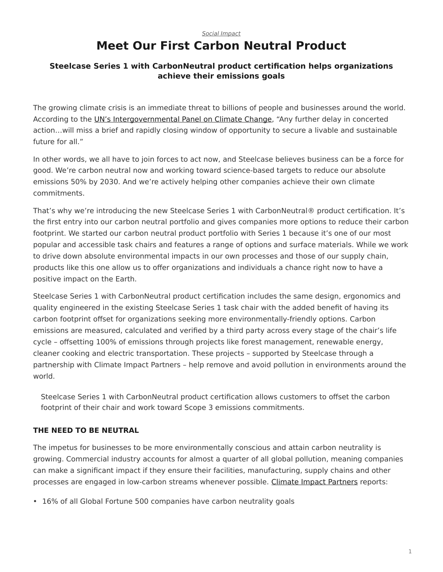# <span id="page-0-0"></span>*[Social Impact](https://www.steelcase.com/research/topics/social-impact/)* **Meet Our First Carbon Neutral Product**

### **Steelcase Series 1 with CarbonNeutral product certification helps organizations achieve their emissions goals**

The growing climate crisis is an immediate threat to billions of people and businesses around the world. According to the [UN's Intergovernmental Panel on Climate Change,](https://www.nature.org/en-us/what-we-do/our-insights/perspectives/ipcc-report-climate-change/) "Any further delay in concerted action…will miss a brief and rapidly closing window of opportunity to secure a livable and sustainable future for all."

In other words, we all have to join forces to act now, and Steelcase believes business can be a force for good. We're carbon neutral now and working toward science-based targets to reduce our absolute emissions 50% by 2030. And we're actively helping other companies achieve their own climate commitments.

That's why we're introducing the new Steelcase Series 1 with CarbonNeutral® product certification. It's the first entry into our carbon neutral portfolio and gives companies more options to reduce their carbon footprint. We started our carbon neutral product portfolio with Series 1 because it's one of our most popular and accessible task chairs and features a range of options and surface materials. While we work to drive down absolute environmental impacts in our own processes and those of our supply chain, products like this one allow us to offer organizations and individuals a chance right now to have a positive impact on the Earth.

Steelcase Series 1 with CarbonNeutral product certification includes the same design, ergonomics and quality engineered in the existing Steelcase Series 1 task chair with the added benefit of having its carbon footprint offset for organizations seeking more environmentally-friendly options. Carbon emissions are measured, calculated and verified by a third party across every stage of the chair's life cycle – offsetting 100% of emissions through projects like forest management, renewable energy, cleaner cooking and electric transportation. These projects – supported by Steelcase through a partnership with Climate Impact Partners – help remove and avoid pollution in environments around the world.

Steelcase Series 1 with CarbonNeutral product certification allows customers to offset the carbon footprint of their chair and work toward Scope 3 emissions commitments.

## **THE NEED TO BE NEUTRAL**

The impetus for businesses to be more environmentally conscious and attain carbon neutrality is growing. Commercial industry accounts for almost a quarter of all global pollution, meaning companies can make a significant impact if they ensure their facilities, manufacturing, supply chains and other processes are engaged in low-carbon streams whenever possible. [Climate Impact Partners](https://www.climateimpact.com/news-insights/insights/reality-check-climate-action-and-commitments-fortune-global-500/) reports:

• 16% of all Global Fortune 500 companies have carbon neutrality goals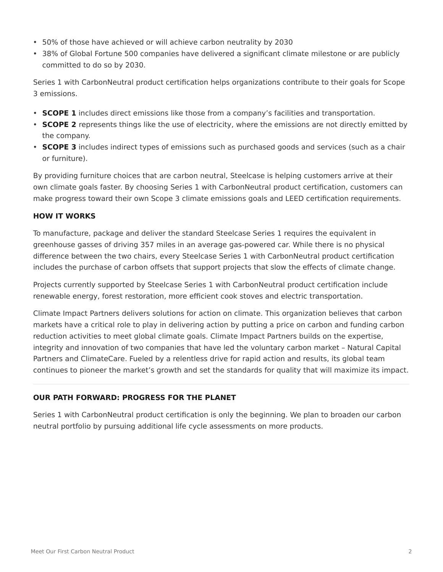- 50% of those have achieved or will achieve carbon neutrality by 2030
- 38% of Global Fortune 500 companies have delivered a significant climate milestone or are publicly committed to do so by 2030.

Series 1 with CarbonNeutral product certification helps organizations contribute to their goals for Scope 3 emissions.

- **SCOPE 1** includes direct emissions like those from a company's facilities and transportation.
- **SCOPE 2** represents things like the use of electricity, where the emissions are not directly emitted by the company.
- **SCOPE 3** includes indirect types of emissions such as purchased goods and services (such as a chair or furniture).

By providing furniture choices that are carbon neutral, Steelcase is helping customers arrive at their own climate goals faster. By choosing Series 1 with CarbonNeutral product certification, customers can make progress toward their own Scope 3 climate emissions goals and LEED certification requirements.

### **HOW IT WORKS**

To manufacture, package and deliver the standard Steelcase Series 1 requires the equivalent in greenhouse gasses of driving 357 miles in an average gas-powered car. While there is no physical difference between the two chairs, every Steelcase Series 1 with CarbonNeutral product certification includes the purchase of carbon offsets that support projects that slow the effects of climate change.

Projects currently supported by Steelcase Series 1 with CarbonNeutral product certification include renewable energy, forest restoration, more efficient cook stoves and electric transportation.

Climate Impact Partners delivers solutions for action on climate. This organization believes that carbon markets have a critical role to play in delivering action by putting a price on carbon and funding carbon reduction activities to meet global climate goals. Climate Impact Partners builds on the expertise, integrity and innovation of two companies that have led the voluntary carbon market – Natural Capital Partners and ClimateCare. Fueled by a relentless drive for rapid action and results, its global team continues to pioneer the market's growth and set the standards for quality that will maximize its impact.

### **OUR PATH FORWARD: PROGRESS FOR THE PLANET**

Series 1 with CarbonNeutral product certification is only the beginning. We plan to broaden our carbon neutral portfolio by pursuing additional life cycle assessments on more products.